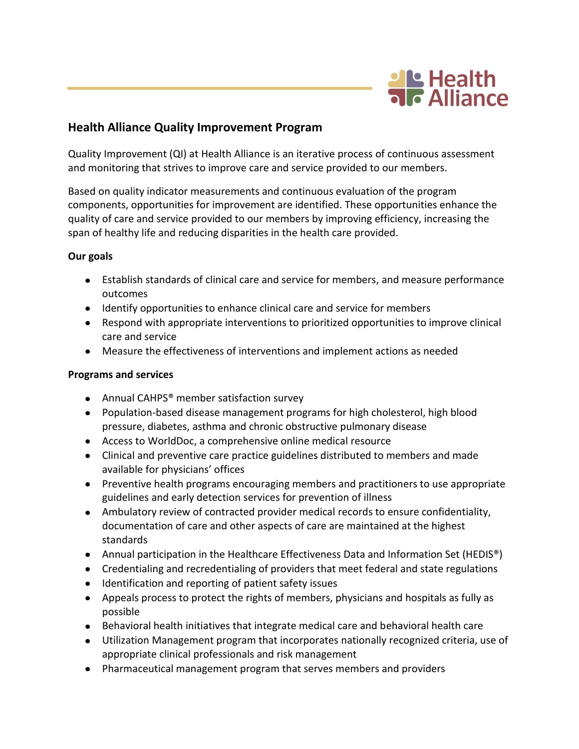

## **Health Alliance Quality Improvement Program**

Quality Improvement (QI) at Health Alliance is an iterative process of continuous assessment and monitoring that strives to improve care and service provided to our members.

Based on quality indicator measurements and continuous evaluation of the program components, opportunities for improvement are identified. These opportunities enhance the quality of care and service provided to our members by improving efficiency, increasing the span of healthy life and reducing disparities in the health care provided.

## **Our goals**

- Establish standards of clinical care and service for members, and measure performance outcomes
- Identify opportunities to enhance clinical care and service for members
- Respond with appropriate interventions to prioritized opportunities to improve clinical care and service
- Measure the effectiveness of interventions and implement actions as needed

## **Programs and services**

- Annual CAHPS<sup>®</sup> member satisfaction survey
- Population-based disease management programs for high cholesterol, high blood pressure, diabetes, asthma and chronic obstructive pulmonary disease
- Access to WorldDoc, a comprehensive online medical resource
- Clinical and preventive care practice guidelines distributed to members and made available for physicians' offices
- Preventive health programs encouraging members and practitioners to use appropriate guidelines and early detection services for prevention of illness
- Ambulatory review of contracted provider medical records to ensure confidentiality, documentation of care and other aspects of care are maintained at the highest standards
- Annual participation in the Healthcare Effectiveness Data and Information Set (HEDIS<sup>®</sup>)
- Credentialing and recredentialing of providers that meet federal and state regulations
- Identification and reporting of patient safety issues
- Appeals process to protect the rights of members, physicians and hospitals as fully as possible
- Behavioral health initiatives that integrate medical care and behavioral health care
- Utilization Management program that incorporates nationally recognized criteria, use of appropriate clinical professionals and risk management
- Pharmaceutical management program that serves members and providers